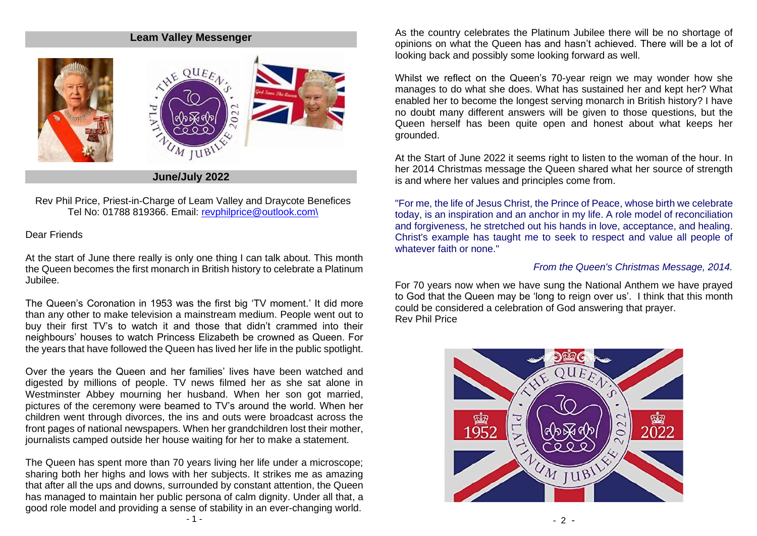#### **Leam Valley Messenger**



Rev Phil Price, Priest-in-Charge of Leam Valley and Draycote Benefices Tel No: 01788 819366. Email: [revphilprice@outlook.com\](mailto:revphilprice@outlook.com)

#### Dear Friends

At the start of June there really is only one thing I can talk about. This month the Queen becomes the first monarch in British history to celebrate a Platinum Jubilee.

The Queen's Coronation in 1953 was the first big 'TV moment.' It did more than any other to make television a mainstream medium. People went out to buy their first TV's to watch it and those that didn't crammed into their neighbours' houses to watch Princess Elizabeth be crowned as Queen. For the years that have followed the Queen has lived her life in the public spotlight.

Over the years the Queen and her families' lives have been watched and digested by millions of people. TV news filmed her as she sat alone in Westminster Abbey mourning her husband. When her son got married, pictures of the ceremony were beamed to TV's around the world. When her children went through divorces, the ins and outs were broadcast across the front pages of national newspapers. When her grandchildren lost their mother, journalists camped outside her house waiting for her to make a statement.

The Queen has spent more than 70 years living her life under a microscope; sharing both her highs and lows with her subjects. It strikes me as amazing that after all the ups and downs, surrounded by constant attention, the Queen has managed to maintain her public persona of calm dignity. Under all that, a good role model and providing a sense of stability in an ever-changing world.

As the country celebrates the Platinum Jubilee there will be no shortage of opinions on what the Queen has and hasn't achieved. There will be a lot of looking back and possibly some looking forward as well.

Whilst we reflect on the Queen's 70-year reign we may wonder how she manages to do what she does. What has sustained her and kept her? What enabled her to become the longest serving monarch in British history? I have no doubt many different answers will be given to those questions, but the Queen herself has been quite open and honest about what keeps her grounded.

At the Start of June 2022 it seems right to listen to the woman of the hour. In her 2014 Christmas message the Queen shared what her source of strength is and where her values and principles come from.

"For me, the life of Jesus Christ, the Prince of Peace, whose birth we celebrate today, is an inspiration and an anchor in my life. A role model of reconciliation and forgiveness, he stretched out his hands in love, acceptance, and healing. Christ's example has taught me to seek to respect and value all people of whatever faith or none."

#### *From the Queen's Christmas Message, 2014.*

For 70 years now when we have sung the National Anthem we have prayed to God that the Queen may be 'long to reign over us'. I think that this month could be considered a celebration of God answering that prayer. Rev Phil Price

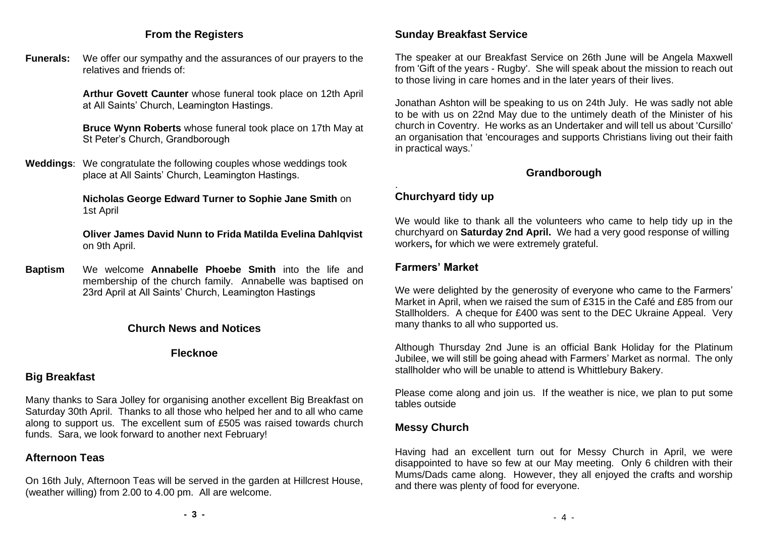## **From the Registers**

**Funerals:** We offer our sympathy and the assurances of our prayers to the relatives and friends of:

> **Arthur Govett Caunter** whose funeral took place on 12th April at All Saints' Church, Leamington Hastings.

> **Bruce Wynn Roberts** whose funeral took place on 17th May at St Peter's Church, Grandborough

**Weddings**: We congratulate the following couples whose weddings took place at All Saints' Church, Leamington Hastings.

> **Nicholas George Edward Turner to Sophie Jane Smith** on 1st April

**Oliver James David Nunn to Frida Matilda Evelina Dahlqvist**  on 9th April.

**Baptism** We welcome **Annabelle Phoebe Smith** into the life and membership of the church family. Annabelle was baptised on 23rd April at All Saints' Church, Leamington Hastings

#### **Church News and Notices**

**Flecknoe**

## **Big Breakfast**

Many thanks to Sara Jolley for organising another excellent Big Breakfast on Saturday 30th April. Thanks to all those who helped her and to all who came along to support us. The excellent sum of £505 was raised towards church funds. Sara, we look forward to another next February!

# **Afternoon Teas**

On 16th July, Afternoon Teas will be served in the garden at Hillcrest House, (weather willing) from 2.00 to 4.00 pm. All are welcome.

## **Sunday Breakfast Service**

The speaker at our Breakfast Service on 26th June will be Angela Maxwell from 'Gift of the years - Rugby'. She will speak about the mission to reach out to those living in care homes and in the later years of their lives.

Jonathan Ashton will be speaking to us on 24th July. He was sadly not able to be with us on 22nd May due to the untimely death of the Minister of his church in Coventry. He works as an Undertaker and will tell us about 'Cursillo' an organisation that 'encourages and supports Christians living out their faith in practical ways.'

## **Grandborough**

#### . **Churchyard tidy up**

We would like to thank all the volunteers who came to help tidy up in the churchyard on **Saturday 2nd April.** We had a very good response of willing workers**,** for which we were extremely grateful.

## **Farmers' Market**

We were delighted by the generosity of everyone who came to the Farmers' Market in April, when we raised the sum of £315 in the Café and £85 from our Stallholders. A cheque for £400 was sent to the DEC Ukraine Appeal. Very many thanks to all who supported us.

Although Thursday 2nd June is an official Bank Holiday for the Platinum Jubilee, we will still be going ahead with Farmers' Market as normal. The only stallholder who will be unable to attend is Whittlebury Bakery.

Please come along and join us. If the weather is nice, we plan to put some tables outside

# **Messy Church**

Having had an excellent turn out for Messy Church in April, we were disappointed to have so few at our May meeting. Only 6 children with their Mums/Dads came along. However, they all enjoyed the crafts and worship and there was plenty of food for everyone.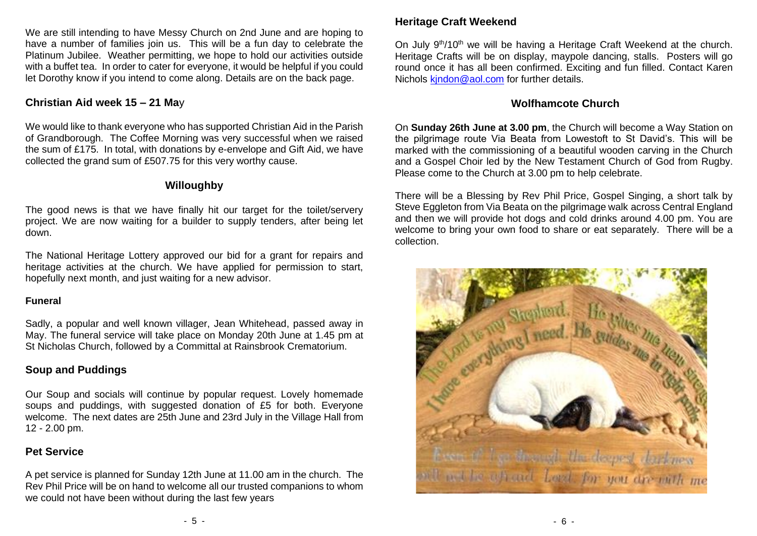We are still intending to have Messy Church on 2nd June and are hoping to have a number of families join us. This will be a fun day to celebrate the Platinum Jubilee. Weather permitting, we hope to hold our activities outside with a buffet tea. In order to cater for everyone, it would be helpful if you could let Dorothy know if you intend to come along. Details are on the back page.

## **Christian Aid week 15 – 21 Ma**y

We would like to thank everyone who has supported Christian Aid in the Parish of Grandborough. The Coffee Morning was very successful when we raised the sum of £175. In total, with donations by e-envelope and Gift Aid, we have collected the grand sum of £507.75 for this very worthy cause.

## **Willoughby**

The good news is that we have finally hit our target for the toilet/servery project. We are now waiting for a builder to supply tenders, after being let down.

The National Heritage Lottery approved our bid for a grant for repairs and heritage activities at the church. We have applied for permission to start, hopefully next month, and just waiting for a new advisor.

## **Funeral**

Sadly, a popular and well known villager, Jean Whitehead, passed away in May. The funeral service will take place on Monday 20th June at 1.45 pm at St Nicholas Church, followed by a Committal at Rainsbrook Crematorium.

# **Soup and Puddings**

Our Soup and socials will continue by popular request. Lovely homemade soups and puddings, with suggested donation of £5 for both. Everyone welcome. The next dates are 25th June and 23rd July in the Village Hall from 12 - 2.00 pm.

# **Pet Service**

A pet service is planned for Sunday 12th June at 11.00 am in the church. The Rev Phil Price will be on hand to welcome all our trusted companions to whom we could not have been without during the last few years

# **Heritage Craft Weekend**

On July 9<sup>th</sup>/10<sup>th</sup> we will be having a Heritage Craft Weekend at the church. Heritage Crafts will be on display, maypole dancing, stalls. Posters will go round once it has all been confirmed. Exciting and fun filled. Contact Karen Nichols kindon@aol.com for further details.

# **Wolfhamcote Church**

On **Sunday 26th June at 3.00 pm**, the Church will become a Way Station on the pilgrimage route Via Beata from Lowestoft to St David's. This will be marked with the commissioning of a beautiful wooden carving in the Church and a Gospel Choir led by the New Testament Church of God from Rugby. Please come to the Church at 3.00 pm to help celebrate.

There will be a Blessing by Rev Phil Price, Gospel Singing, a short talk by Steve Eggleton from Via Beata on the pilgrimage walk across Central England and then we will provide hot dogs and cold drinks around 4.00 pm. You are welcome to bring your own food to share or eat separately. There will be a collection.